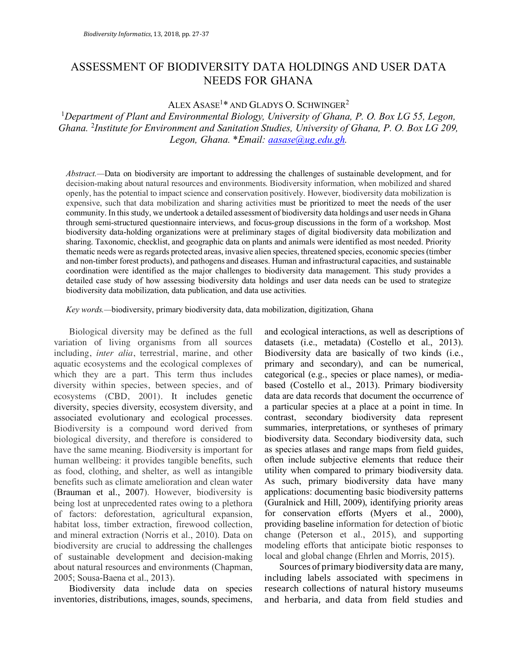# ASSESSMENT OF BIODIVERSITY DATA HOLDINGS AND USER DATA NEEDS FOR GHANA

## ALEX ASASE1\* AND GLADYS O. SCHWINGER2

<sup>1</sup>*Department of Plant and Environmental Biology, University of Ghana, P. O. Box LG 55, Legon, Ghana.* <sup>2</sup> *Institute for Environment and Sanitation Studies, University of Ghana, P. O. Box LG 209, Legon, Ghana.* \**Email: aasase@ug.edu.gh.*

*Abstract.—*Data on biodiversity are important to addressing the challenges of sustainable development, and for decision-making about natural resources and environments. Biodiversity information, when mobilized and shared openly, has the potential to impact science and conservation positively. However, biodiversity data mobilization is expensive, such that data mobilization and sharing activities must be prioritized to meet the needs of the user community. In this study, we undertook a detailed assessment of biodiversity data holdings and user needs in Ghana through semi-structured questionnaire interviews, and focus-group discussions in the form of a workshop. Most biodiversity data-holding organizations were at preliminary stages of digital biodiversity data mobilization and sharing. Taxonomic, checklist, and geographic data on plants and animals were identified as most needed. Priority thematic needs were as regards protected areas, invasive alien species, threatened species, economic species (timber and non-timber forest products), and pathogens and diseases. Human and infrastructural capacities, and sustainable coordination were identified as the major challenges to biodiversity data management. This study provides a detailed case study of how assessing biodiversity data holdings and user data needs can be used to strategize biodiversity data mobilization, data publication, and data use activities.

*Key words.—*biodiversity, primary biodiversity data, data mobilization, digitization, Ghana

Biological diversity may be defined as the full variation of living organisms from all sources including, *inter alia*, terrestrial, marine, and other aquatic ecosystems and the ecological complexes of which they are a part. This term thus includes diversity within species, between species, and of ecosystems (CBD, 2001). It includes genetic diversity, species diversity, ecosystem diversity, and associated evolutionary and ecological processes. Biodiversity is a compound word derived from biological diversity, and therefore is considered to have the same meaning. Biodiversity is important for human wellbeing: it provides tangible benefits, such as food, clothing, and shelter, as well as intangible benefits such as climate amelioration and clean water (Brauman et al., 2007). However, biodiversity is being lost at unprecedented rates owing to a plethora of factors: deforestation, agricultural expansion, habitat loss, timber extraction, firewood collection, and mineral extraction (Norris et al., 2010). Data on biodiversity are crucial to addressing the challenges of sustainable development and decision-making about natural resources and environments (Chapman, 2005; Sousa-Baena et al., 2013).

Biodiversity data include data on species inventories, distributions, images, sounds, specimens, and ecological interactions, as well as descriptions of datasets (i.e., metadata) (Costello et al., 2013). Biodiversity data are basically of two kinds (i.e., primary and secondary), and can be numerical, categorical (e.g., species or place names), or mediabased (Costello et al., 2013). Primary biodiversity data are data records that document the occurrence of a particular species at a place at a point in time. In contrast, secondary biodiversity data represent summaries, interpretations, or syntheses of primary biodiversity data. Secondary biodiversity data, such as species atlases and range maps from field guides, often include subjective elements that reduce their utility when compared to primary biodiversity data. As such, primary biodiversity data have many applications: documenting basic biodiversity patterns (Guralnick and Hill, 2009), identifying priority areas for conservation efforts (Myers et al., 2000), providing baseline information for detection of biotic change (Peterson et al., 2015), and supporting modeling efforts that anticipate biotic responses to local and global change (Ehrlen and Morris, 2015).

Sources of primary biodiversity data are many, including labels associated with specimens in research collections of natural history museums and herbaria, and data from field studies and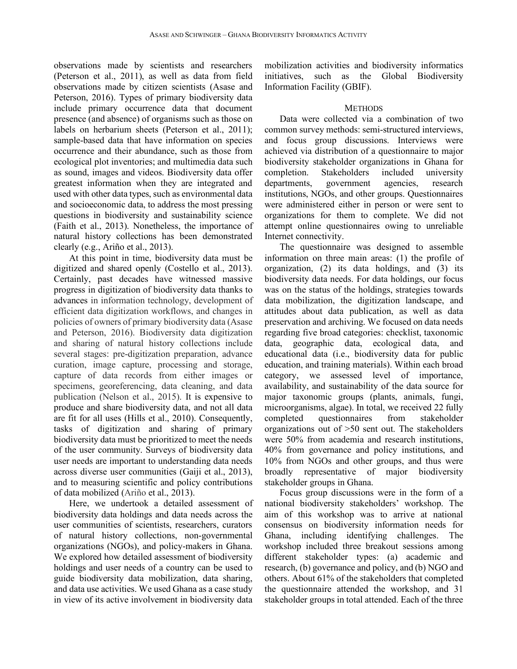observations made by scientists and researchers (Peterson et al., 2011), as well as data from field observations made by citizen scientists (Asase and Peterson, 2016). Types of primary biodiversity data include primary occurrence data that document presence (and absence) of organisms such as those on labels on herbarium sheets (Peterson et al., 2011); sample-based data that have information on species occurrence and their abundance, such as those from ecological plot inventories; and multimedia data such as sound, images and videos. Biodiversity data offer greatest information when they are integrated and used with other data types, such as environmental data and socioeconomic data, to address the most pressing questions in biodiversity and sustainability science (Faith et al., 2013). Nonetheless, the importance of natural history collections has been demonstrated clearly (e.g., Ariño et al., 2013).

At this point in time, biodiversity data must be digitized and shared openly (Costello et al., 2013). Certainly, past decades have witnessed massive progress in digitization of biodiversity data thanks to advances in information technology, development of efficient data digitization workflows, and changes in policies of owners of primary biodiversity data (Asase and Peterson, 2016). Biodiversity data digitization and sharing of natural history collections include several stages: pre-digitization preparation, advance curation, image capture, processing and storage, capture of data records from either images or specimens, georeferencing, data cleaning, and data publication (Nelson et al., 2015). It is expensive to produce and share biodiversity data, and not all data are fit for all uses (Hills et al., 2010). Consequently, tasks of digitization and sharing of primary biodiversity data must be prioritized to meet the needs of the user community. Surveys of biodiversity data user needs are important to understanding data needs across diverse user communities (Gaiji et al., 2013), and to measuring scientific and policy contributions of data mobilized (Ariño et al., 2013).

Here, we undertook a detailed assessment of biodiversity data holdings and data needs across the user communities of scientists, researchers, curators of natural history collections, non-governmental organizations (NGOs), and policy-makers in Ghana. We explored how detailed assessment of biodiversity holdings and user needs of a country can be used to guide biodiversity data mobilization, data sharing, and data use activities. We used Ghana as a case study in view of its active involvement in biodiversity data

mobilization activities and biodiversity informatics initiatives, such as the Global Biodiversity Information Facility (GBIF).

#### **METHODS**

Data were collected via a combination of two common survey methods: semi-structured interviews, and focus group discussions. Interviews were achieved via distribution of a questionnaire to major biodiversity stakeholder organizations in Ghana for completion. Stakeholders included university departments, government agencies, research institutions, NGOs, and other groups. Questionnaires were administered either in person or were sent to organizations for them to complete. We did not attempt online questionnaires owing to unreliable Internet connectivity.

The questionnaire was designed to assemble information on three main areas: (1) the profile of organization, (2) its data holdings, and (3) its biodiversity data needs. For data holdings, our focus was on the status of the holdings, strategies towards data mobilization, the digitization landscape, and attitudes about data publication, as well as data preservation and archiving. We focused on data needs regarding five broad categories: checklist, taxonomic data, geographic data, ecological data, and educational data (i.e., biodiversity data for public education, and training materials). Within each broad category, we assessed level of importance, availability, and sustainability of the data source for major taxonomic groups (plants, animals, fungi, microorganisms, algae). In total, we received 22 fully completed questionnaires from stakeholder organizations out of >50 sent out. The stakeholders were 50% from academia and research institutions, 40% from governance and policy institutions, and 10% from NGOs and other groups, and thus were broadly representative of major biodiversity stakeholder groups in Ghana.

Focus group discussions were in the form of a national biodiversity stakeholders' workshop. The aim of this workshop was to arrive at national consensus on biodiversity information needs for Ghana, including identifying challenges. The workshop included three breakout sessions among different stakeholder types: (a) academic and research, (b) governance and policy, and (b) NGO and others. About 61% of the stakeholders that completed the questionnaire attended the workshop, and 31 stakeholder groups in total attended. Each of the three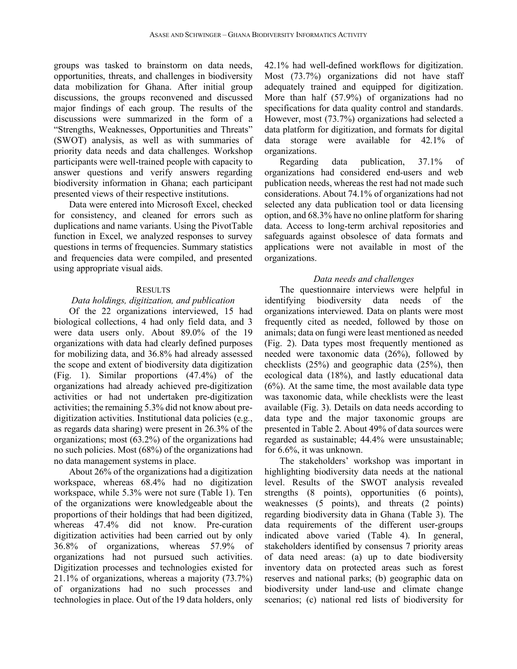groups was tasked to brainstorm on data needs, opportunities, threats, and challenges in biodiversity data mobilization for Ghana. After initial group discussions, the groups reconvened and discussed major findings of each group. The results of the discussions were summarized in the form of a "Strengths, Weaknesses, Opportunities and Threats" (SWOT) analysis, as well as with summaries of priority data needs and data challenges. Workshop participants were well-trained people with capacity to answer questions and verify answers regarding biodiversity information in Ghana; each participant presented views of their respective institutions.

Data were entered into Microsoft Excel, checked for consistency, and cleaned for errors such as duplications and name variants. Using the PivotTable function in Excel, we analyzed responses to survey questions in terms of frequencies. Summary statistics and frequencies data were compiled, and presented using appropriate visual aids.

#### **RESULTS**

#### *Data holdings, digitization, and publication*

Of the 22 organizations interviewed, 15 had biological collections, 4 had only field data, and 3 were data users only. About 89.0% of the 19 organizations with data had clearly defined purposes for mobilizing data, and 36.8% had already assessed the scope and extent of biodiversity data digitization (Fig. 1). Similar proportions (47.4%) of the organizations had already achieved pre-digitization activities or had not undertaken pre-digitization activities; the remaining 5.3% did not know about predigitization activities. Institutional data policies (e.g., as regards data sharing) were present in 26.3% of the organizations; most (63.2%) of the organizations had no such policies. Most (68%) of the organizations had no data management systems in place.

About 26% of the organizations had a digitization workspace, whereas 68.4% had no digitization workspace, while 5.3% were not sure (Table 1). Ten of the organizations were knowledgeable about the proportions of their holdings that had been digitized, whereas 47.4% did not know. Pre-curation digitization activities had been carried out by only 36.8% of organizations, whereas 57.9% of organizations had not pursued such activities. Digitization processes and technologies existed for 21.1% of organizations, whereas a majority (73.7%) of organizations had no such processes and technologies in place. Out of the 19 data holders, only 42.1% had well-defined workflows for digitization. Most (73.7%) organizations did not have staff adequately trained and equipped for digitization. More than half (57.9%) of organizations had no specifications for data quality control and standards. However, most (73.7%) organizations had selected a data platform for digitization, and formats for digital data storage were available for 42.1% of organizations.

Regarding data publication, 37.1% of organizations had considered end-users and web publication needs, whereas the rest had not made such considerations. About 74.1% of organizations had not selected any data publication tool or data licensing option, and 68.3% have no online platform for sharing data. Access to long-term archival repositories and safeguards against obsolesce of data formats and applications were not available in most of the organizations.

### *Data needs and challenges*

The questionnaire interviews were helpful in identifying biodiversity data needs of the organizations interviewed. Data on plants were most frequently cited as needed, followed by those on animals; data on fungi were least mentioned as needed (Fig. 2). Data types most frequently mentioned as needed were taxonomic data (26%), followed by checklists (25%) and geographic data (25%), then ecological data (18%), and lastly educational data  $(6%)$ . At the same time, the most available data type was taxonomic data, while checklists were the least available (Fig. 3). Details on data needs according to data type and the major taxonomic groups are presented in Table 2. About 49% of data sources were regarded as sustainable; 44.4% were unsustainable; for 6.6%, it was unknown.

The stakeholders' workshop was important in highlighting biodiversity data needs at the national level. Results of the SWOT analysis revealed strengths (8 points), opportunities (6 points), weaknesses (5 points), and threats (2 points) regarding biodiversity data in Ghana (Table 3). The data requirements of the different user-groups indicated above varied (Table 4). In general, stakeholders identified by consensus 7 priority areas of data need areas: (a) up to date biodiversity inventory data on protected areas such as forest reserves and national parks; (b) geographic data on biodiversity under land-use and climate change scenarios; (c) national red lists of biodiversity for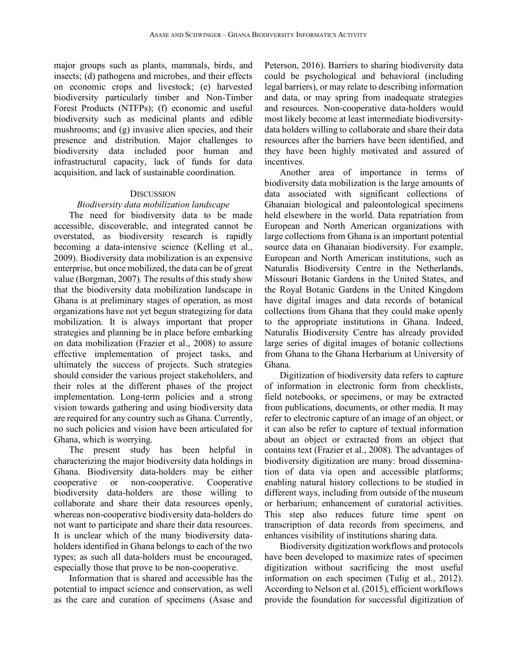major groups such as plants, mammals, birds, and insects; (d) pathogens and microbes, and their effects on economic crops and livestock; (e) harvested biodiversity particularly timber and Non-Timber Forest Products (NTFPs); (f) economic and useful biodiversity such as medicinal plants and edible mushrooms; and (g) invasive alien species, and their presence and distribution. Major challenges to biodiversity data included poor human and infrastructural capacity, lack of funds for data acquisition, and lack of sustainable coordination.

#### **DISCUSSION**

#### *Biodiversity data mobilization landscape*

The need for biodiversity data to be made accessible, discoverable, and integrated cannot be overstated, as biodiversity research is rapidly becoming a data-intensive science (Kelling et al., 2009). Biodiversity data mobilization is an expensive enterprise, but once mobilized, the data can be of great value (Borgman, 2007). The results of this study show that the biodiversity data mobilization landscape in Ghana is at preliminary stages of operation, as most organizations have not yet begun strategizing for data mobilization. It is always important that proper strategies and planning be in place before embarking on data mobilization (Frazier et al., 2008) to assure effective implementation of project tasks, and ultimately the success of projects. Such strategies should consider the various project stakeholders, and their roles at the different phases of the project implementation. Long-term policies and a strong vision towards gathering and using biodiversity data are required for any country such as Ghana. Currently, no such policies and vision have been articulated for Ghana, which is worrying.

The present study has been helpful in characterizing the major biodiversity data holdings in Ghana. Biodiversity data-holders may be either cooperative or non-cooperative. Cooperative biodiversity data-holders are those willing to collaborate and share their data resources openly, whereas non-cooperative biodiversity data-holders do not want to participate and share their data resources. It is unclear which of the many biodiversity dataholders identified in Ghana belongs to each of the two types; as such all data-holders must be encouraged, especially those that prove to be non-cooperative.

Information that is shared and accessible has the potential to impact science and conservation, as well as the care and curation of specimens (Asase and Peterson, 2016). Barriers to sharing biodiversity data could be psychological and behavioral (including legal barriers), or may relate to describing information and data, or may spring from inadequate strategies and resources. Non-cooperative data-holders would most likely become at least intermediate biodiversitydata holders willing to collaborate and share their data resources after the barriers have been identified, and they have been highly motivated and assured of incentives.

Another area of importance in terms of biodiversity data mobilization is the large amounts of data associated with significant collections of Ghanaian biological and paleontological specimens held elsewhere in the world. Data repatriation from European and North American organizations with large collections from Ghana is an important potential source data on Ghanaian biodiversity. For example, European and North American institutions, such as Naturalis Biodiversity Centre in the Netherlands, Missouri Botanic Gardens in the United States, and the Royal Botanic Gardens in the United Kingdom have digital images and data records of botanical collections from Ghana that they could make openly to the appropriate institutions in Ghana. Indeed, Naturalis Biodiversity Centre has already provided large series of digital images of botanic collections from Ghana to the Ghana Herbarium at University of Ghana.

Digitization of biodiversity data refers to capture of information in electronic form from checklists, field notebooks, or specimens, or may be extracted from publications, documents, or other media. It may refer to electronic capture of an image of an object, or it can also be refer to capture of textual information about an object or extracted from an object that contains text (Frazier et al., 2008). The advantages of biodiversity digitization are many: broad dissemination of data via open and accessible platforms; enabling natural history collections to be studied in different ways, including from outside of the museum or herbarium; enhancement of curatorial activities. This step also reduces future time spent on transcription of data records from specimens, and enhances visibility of institutions sharing data.

Biodiversity digitization workflows and protocols have been developed to maximize rates of specimen digitization without sacrificing the most useful information on each specimen (Tulig et al., 2012). According to Nelson et al. (2015), efficient workflows provide the foundation for successful digitization of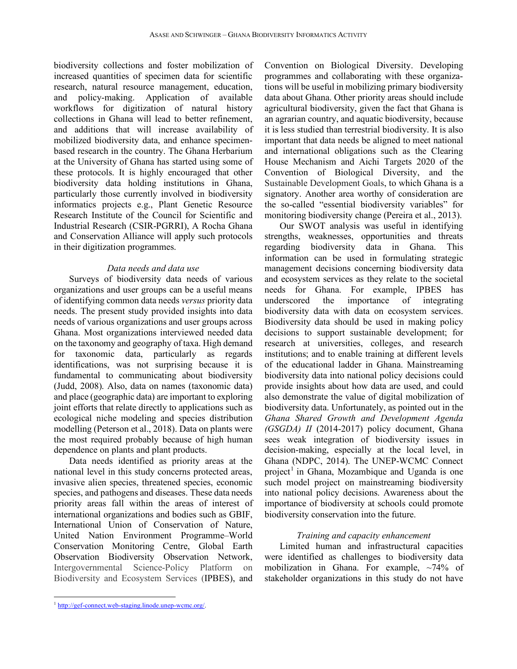biodiversity collections and foster mobilization of increased quantities of specimen data for scientific research, natural resource management, education, and policy-making. Application of available workflows for digitization of natural history collections in Ghana will lead to better refinement, and additions that will increase availability of mobilized biodiversity data, and enhance specimenbased research in the country. The Ghana Herbarium at the University of Ghana has started using some of these protocols. It is highly encouraged that other biodiversity data holding institutions in Ghana, particularly those currently involved in biodiversity informatics projects e.g., Plant Genetic Resource Research Institute of the Council for Scientific and Industrial Research (CSIR-PGRRI), A Rocha Ghana and Conservation Alliance will apply such protocols in their digitization programmes.

#### *Data needs and data use*

Surveys of biodiversity data needs of various organizations and user groups can be a useful means of identifying common data needs *versus* priority data needs. The present study provided insights into data needs of various organizations and user groups across Ghana. Most organizations interviewed needed data on the taxonomy and geography of taxa. High demand for taxonomic data, particularly as regards identifications, was not surprising because it is fundamental to communicating about biodiversity (Judd, 2008). Also, data on names (taxonomic data) and place (geographic data) are important to exploring joint efforts that relate directly to applications such as ecological niche modeling and species distribution modelling (Peterson et al., 2018). Data on plants were the most required probably because of high human dependence on plants and plant products.

Data needs identified as priority areas at the national level in this study concerns protected areas, invasive alien species, threatened species, economic species, and pathogens and diseases. These data needs priority areas fall within the areas of interest of international organizations and bodies such as GBIF, International Union of Conservation of Nature, United Nation Environment Programme–World Conservation Monitoring Centre, Global Earth Observation Biodiversity Observation Network, Intergovernmental Science-Policy Platform on Biodiversity and Ecosystem Services (IPBES), and

Convention on Biological Diversity. Developing programmes and collaborating with these organizations will be useful in mobilizing primary biodiversity data about Ghana. Other priority areas should include agricultural biodiversity, given the fact that Ghana is an agrarian country, and aquatic biodiversity, because it is less studied than terrestrial biodiversity. It is also important that data needs be aligned to meet national and international obligations such as the Clearing House Mechanism and Aichi Targets 2020 of the Convention of Biological Diversity, and the Sustainable Development Goals, to which Ghana is a signatory. Another area worthy of consideration are the so-called "essential biodiversity variables" for monitoring biodiversity change (Pereira et al., 2013).

Our SWOT analysis was useful in identifying strengths, weaknesses, opportunities and threats regarding biodiversity data in Ghana. This information can be used in formulating strategic management decisions concerning biodiversity data and ecosystem services as they relate to the societal needs for Ghana. For example, IPBES has underscored the importance of integrating biodiversity data with data on ecosystem services. Biodiversity data should be used in making policy decisions to support sustainable development; for research at universities, colleges, and research institutions; and to enable training at different levels of the educational ladder in Ghana. Mainstreaming biodiversity data into national policy decisions could provide insights about how data are used, and could also demonstrate the value of digital mobilization of biodiversity data. Unfortunately, as pointed out in the *Ghana Shared Growth and Development Agenda (GSGDA) II* (2014-2017) policy document, Ghana sees weak integration of biodiversity issues in decision-making, especially at the local level, in Ghana (NDPC, 2014). The UNEP-WCMC Connect project<sup>1</sup> in Ghana, Mozambique and Uganda is one such model project on mainstreaming biodiversity into national policy decisions. Awareness about the importance of biodiversity at schools could promote biodiversity conservation into the future.

## *Training and capacity enhancement*

Limited human and infrastructural capacities were identified as challenges to biodiversity data mobilization in Ghana. For example, ~74% of stakeholder organizations in this study do not have

 

<sup>1</sup> http://gef-connect.web-staging.linode.unep-wcmc.org/.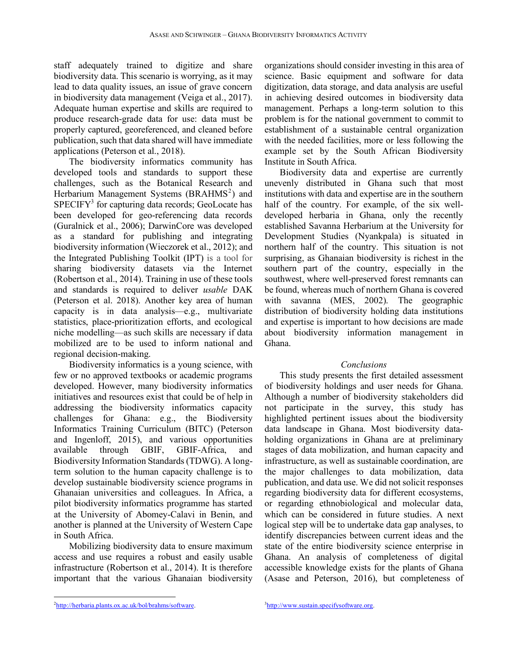staff adequately trained to digitize and share biodiversity data. This scenario is worrying, as it may lead to data quality issues, an issue of grave concern in biodiversity data management (Veiga et al., 2017). Adequate human expertise and skills are required to produce research-grade data for use: data must be properly captured, georeferenced, and cleaned before publication, such that data shared will have immediate applications (Peterson et al., 2018).

The biodiversity informatics community has developed tools and standards to support these challenges, such as the Botanical Research and Herbarium Management Systems (BRAHMS<sup>2</sup>) and  $SPECTFY<sup>3</sup>$  for capturing data records; GeoLocate has been developed for geo-referencing data records (Guralnick et al., 2006); DarwinCore was developed as a standard for publishing and integrating biodiversity information (Wieczorek et al., 2012); and the Integrated Publishing Toolkit (IPT) is a tool for sharing biodiversity datasets via the Internet (Robertson et al., 2014). Training in use of these tools and standards is required to deliver *usable* DAK (Peterson et al. 2018). Another key area of human capacity is in data analysis—e.g., multivariate statistics, place-prioritization efforts, and ecological niche modelling—as such skills are necessary if data mobilized are to be used to inform national and regional decision-making.

Biodiversity informatics is a young science, with few or no approved textbooks or academic programs developed. However, many biodiversity informatics initiatives and resources exist that could be of help in addressing the biodiversity informatics capacity challenges for Ghana: e.g., the Biodiversity Informatics Training Curriculum (BITC) (Peterson and Ingenloff, 2015), and various opportunities available through GBIF, GBIF-Africa, and Biodiversity Information Standards (TDWG). A longterm solution to the human capacity challenge is to develop sustainable biodiversity science programs in Ghanaian universities and colleagues. In Africa, a pilot biodiversity informatics programme has started at the University of Abomey-Calavi in Benin, and another is planned at the University of Western Cape in South Africa.

Mobilizing biodiversity data to ensure maximum access and use requires a robust and easily usable infrastructure (Robertson et al., 2014). It is therefore important that the various Ghanaian biodiversity

organizations should consider investing in this area of science. Basic equipment and software for data digitization, data storage, and data analysis are useful in achieving desired outcomes in biodiversity data management. Perhaps a long-term solution to this problem is for the national government to commit to establishment of a sustainable central organization with the needed facilities, more or less following the example set by the South African Biodiversity Institute in South Africa.

Biodiversity data and expertise are currently unevenly distributed in Ghana such that most institutions with data and expertise are in the southern half of the country. For example, of the six welldeveloped herbaria in Ghana, only the recently established Savanna Herbarium at the University for Development Studies (Nyankpala) is situated in northern half of the country. This situation is not surprising, as Ghanaian biodiversity is richest in the southern part of the country, especially in the southwest, where well-preserved forest remnants can be found, whereas much of northern Ghana is covered with savanna (MES, 2002). The geographic distribution of biodiversity holding data institutions and expertise is important to how decisions are made about biodiversity information management in Ghana.

#### *Conclusions*

This study presents the first detailed assessment of biodiversity holdings and user needs for Ghana. Although a number of biodiversity stakeholders did not participate in the survey, this study has highlighted pertinent issues about the biodiversity data landscape in Ghana. Most biodiversity dataholding organizations in Ghana are at preliminary stages of data mobilization, and human capacity and infrastructure, as well as sustainable coordination, are the major challenges to data mobilization, data publication, and data use. We did not solicit responses regarding biodiversity data for different ecosystems, or regarding ethnobiological and molecular data, which can be considered in future studies. A next logical step will be to undertake data gap analyses, to identify discrepancies between current ideas and the state of the entire biodiversity science enterprise in Ghana. An analysis of completeness of digital accessible knowledge exists for the plants of Ghana (Asase and Peterson, 2016), but completeness of

 <sup>2</sup>http://herbaria.plants.ox.ac.uk/bol/brahms/software.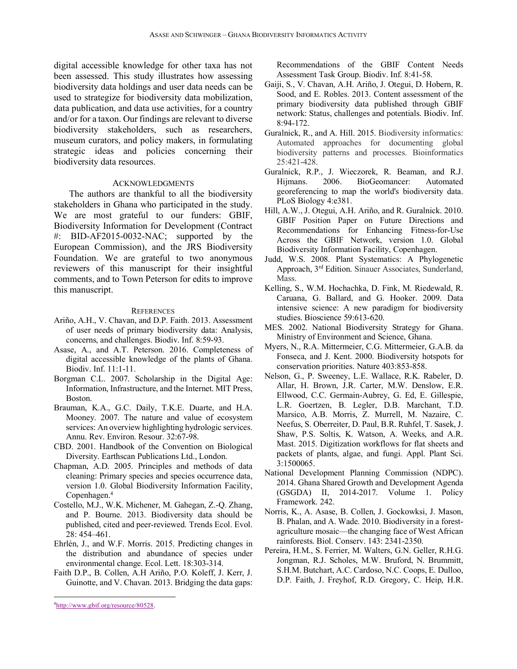digital accessible knowledge for other taxa has not been assessed. This study illustrates how assessing biodiversity data holdings and user data needs can be used to strategize for biodiversity data mobilization, data publication, and data use activities, for a country and/or for a taxon. Our findings are relevant to diverse biodiversity stakeholders, such as researchers, museum curators, and policy makers, in formulating strategic ideas and policies concerning their biodiversity data resources.

#### ACKNOWLEDGMENTS

The authors are thankful to all the biodiversity stakeholders in Ghana who participated in the study. We are most grateful to our funders: GBIF, Biodiversity Information for Development (Contract #: BID-AF2015-0032-NAC; supported by the European Commission), and the JRS Biodiversity Foundation. We are grateful to two anonymous reviewers of this manuscript for their insightful comments, and to Town Peterson for edits to improve this manuscript.

#### **REFERENCES**

- Ariño, A.H., V. Chavan, and D.P. Faith. 2013. Assessment of user needs of primary biodiversity data: Analysis, concerns, and challenges. Biodiv. Inf. 8:59-93.
- Asase, A., and A.T. Peterson. 2016. Completeness of digital accessible knowledge of the plants of Ghana. Biodiv. Inf. 11:1-11.
- Borgman C.L. 2007. Scholarship in the Digital Age: Information, Infrastructure, and the Internet. MIT Press, Boston.
- Brauman, K.A., G.C. Daily, T.K.E. Duarte, and H.A. Mooney. 2007. The nature and value of ecosystem services: An overview highlighting hydrologic services. Annu. Rev. Environ. Resour. 32:67-98.
- CBD. 2001. Handbook of the Convention on Biological Diversity. Earthscan Publications Ltd., London.
- Chapman, A.D. 2005. Principles and methods of data cleaning: Primary species and species occurrence data, version 1.0. Global Biodiversity Information Facility, Copenhagen. 4
- Costello, M.J., W.K. Michener, M. Gahegan, Z.-Q. Zhang, and P. Bourne. 2013. Biodiversity data should be published, cited and peer-reviewed. Trends Ecol. Evol. 28: 454–461.
- Ehrlén, J., and W.F. Morris. 2015. Predicting changes in the distribution and abundance of species under environmental change. Ecol. Lett. 18:303-314.
- Faith D.P., B. Collen, A.H Ariño, P.O. Koleff, J. Kerr, J. Guinotte, and V. Chavan. 2013. Bridging the data gaps:

 

Recommendations of the GBIF Content Needs Assessment Task Group. Biodiv. Inf. 8:41-58.

- Gaiji, S., V. Chavan, A.H. Ariño, J. Otegui, D. Hobern, R. Sood, and E. Robles. 2013. Content assessment of the primary biodiversity data published through GBIF network: Status, challenges and potentials. Biodiv. Inf. 8:94-172.
- Guralnick, R., and A. Hill. 2015. Biodiversity informatics: Automated approaches for documenting global biodiversity patterns and processes. Bioinformatics 25:421-428.
- Guralnick, R.P., J. Wieczorek, R. Beaman, and R.J. Hijmans. 2006. BioGeomancer: Automated georeferencing to map the world's biodiversity data. PLoS Biology 4:e381.
- Hill, A.W., J. Otegui, A.H. Ariño, and R. Guralnick. 2010. GBIF Position Paper on Future Directions and Recommendations for Enhancing Fitness-for-Use Across the GBIF Network, version 1.0. Global Biodiversity Information Facility, Copenhagen.
- Judd, W.S. 2008. Plant Systematics: A Phylogenetic Approach, 3rd Edition. Sinauer Associates, Sunderland, Mass.
- Kelling, S., W.M. Hochachka, D. Fink, M. Riedewald, R. Caruana, G. Ballard, and G. Hooker. 2009. Data intensive science: A new paradigm for biodiversity studies. Bioscience 59:613-620.
- MES. 2002. National Biodiversity Strategy for Ghana. Ministry of Environment and Science, Ghana.
- Myers, N., R.A. Mittermeier, C.G. Mittermeier, G.A.B. da Fonseca, and J. Kent. 2000. Biodiversity hotspots for conservation priorities. Nature 403:853-858.
- Nelson, G., P. Sweeney, L.E. Wallace, R.K. Rabeler, D. Allar, H. Brown, J.R. Carter, M.W. Denslow, E.R. Ellwood, C.C. Germain-Aubrey, G. Ed, E. Gillespie, L.R. Goertzen, B. Legler, D.B. Marchant, T.D. Marsico, A.B. Morris, Z. Murrell, M. Nazaire, C. Neefus, S. Oberreiter, D. Paul, B.R. Ruhfel, T. Sasek, J. Shaw, P.S. Soltis, K. Watson, A. Weeks, and A.R. Mast. 2015. Digitization workflows for flat sheets and packets of plants, algae, and fungi. Appl. Plant Sci. 3:1500065.
- National Development Planning Commission (NDPC). 2014. Ghana Shared Growth and Development Agenda (GSGDA) II, 2014-2017. Volume 1. Policy Framework. 242.
- Norris, K., A. Asase, B. Collen, J. Gockowksi, J. Mason, B. Phalan, and A. Wade. 2010. Biodiversity in a forestagriculture mosaic—the changing face of West African rainforests. Biol. Conserv. 143: 2341-2350.
- Pereira, H.M., S. Ferrier, M. Walters, G.N. Geller, R.H.G. Jongman, R.J. Scholes, M.W. Bruford, N. Brummitt, S.H.M. Butchart, A.C. Cardoso, N.C. Coops, E. Dulloo, D.P. Faith, J. Freyhof, R.D. Gregory, C. Heip, H.R.

<sup>&</sup>lt;sup>4</sup>http://www.gbif.org/resource/80528.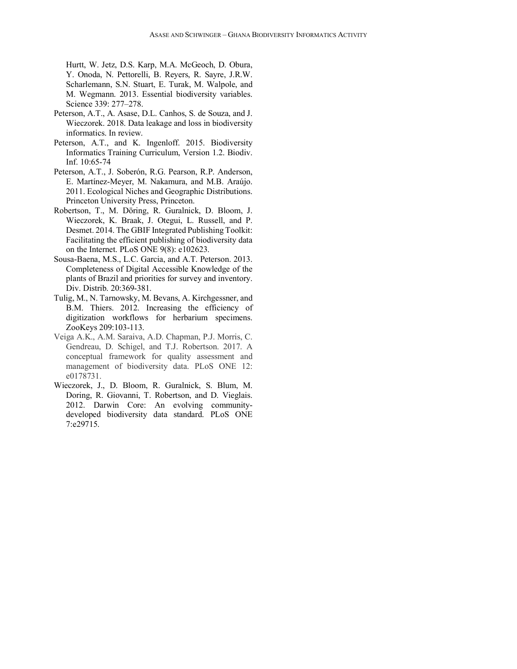Hurtt, W. Jetz, D.S. Karp, M.A. McGeoch, D. Obura, Y. Onoda, N. Pettorelli, B. Reyers, R. Sayre, J.R.W. Scharlemann, S.N. Stuart, E. Turak, M. Walpole, and M. Wegmann. 2013. Essential biodiversity variables. Science 339: 277–278.

- Peterson, A.T., A. Asase, D.L. Canhos, S. de Souza, and J. Wieczorek. 2018. Data leakage and loss in biodiversity informatics. In review.
- Peterson, A.T., and K. Ingenloff. 2015. Biodiversity Informatics Training Curriculum, Version 1.2. Biodiv. Inf. 10:65-74
- Peterson, A.T., J. Soberón, R.G. Pearson, R.P. Anderson, E. Martínez-Meyer, M. Nakamura, and M.B. Araújo. 2011. Ecological Niches and Geographic Distributions. Princeton University Press, Princeton.
- Robertson, T., M. Döring, R. Guralnick, D. Bloom, J. Wieczorek, K. Braak, J. Otegui, L. Russell, and P. Desmet. 2014. The GBIF Integrated Publishing Toolkit: Facilitating the efficient publishing of biodiversity data on the Internet. PLoS ONE 9(8): e102623.
- Sousa-Baena, M.S., L.C. Garcia, and A.T. Peterson. 2013. Completeness of Digital Accessible Knowledge of the plants of Brazil and priorities for survey and inventory. Div. Distrib. 20:369-381.
- Tulig, M., N. Tarnowsky, M. Bevans, A. Kirchgessner, and B.M. Thiers. 2012. Increasing the efficiency of digitization workflows for herbarium specimens. ZooKeys 209:103-113.
- Veiga A.K., A.M. Saraiva, A.D. Chapman, P.J. Morris, C. Gendreau, D. Schigel, and T.J. Robertson. 2017. A conceptual framework for quality assessment and management of biodiversity data. PLoS ONE 12: e0178731.
- Wieczorek, J., D. Bloom, R. Guralnick, S. Blum, M. Doring, R. Giovanni, T. Robertson, and D. Vieglais. 2012. Darwin Core: An evolving communitydeveloped biodiversity data standard. PLoS ONE 7:e29715.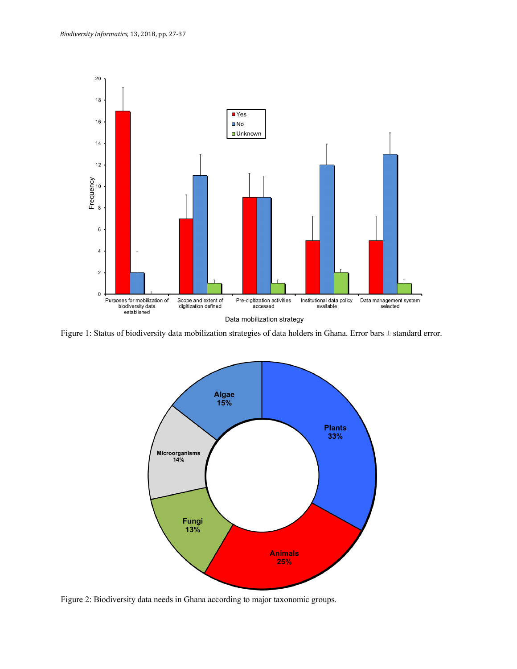

Figure 1: Status of biodiversity data mobilization strategies of data holders in Ghana. Error bars ± standard error.



Figure 2: Biodiversity data needs in Ghana according to major taxonomic groups.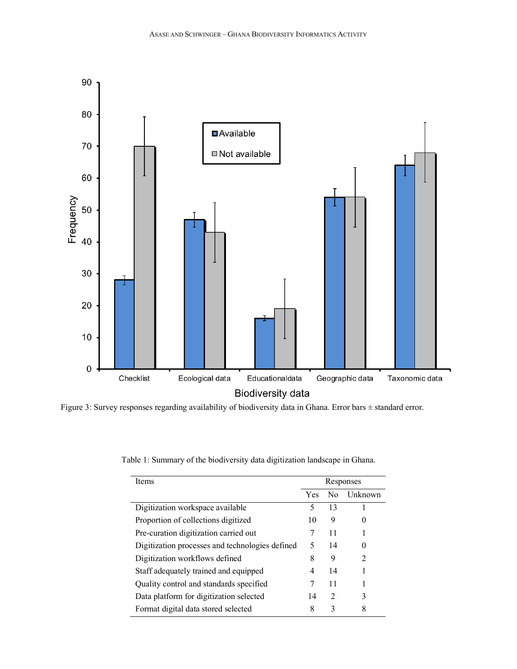

Figure 3: Survey responses regarding availability of biodiversity data in Ghana. Error bars ± standard error.

| Items                                           | Responses  |    |                |
|-------------------------------------------------|------------|----|----------------|
|                                                 | <b>Yes</b> | No | Unknown        |
| Digitization workspace available                | 5          | 13 |                |
| Proportion of collections digitized             | 10         | 9  | $\theta$       |
| Pre-curation digitization carried out           |            | 11 |                |
| Digitization processes and technologies defined | 5          | 14 | 0              |
| Digitization workflows defined                  | 8          | 9  | $\overline{c}$ |
| Staff adequately trained and equipped           | 4          | 14 |                |
| Quality control and standards specified         | 7          | 11 |                |
| Data platform for digitization selected         | 14         | 2  | 3              |
| Format digital data stored selected             | 8          | 3  | 8              |

Table 1: Summary of the biodiversity data digitization landscape in Ghana.